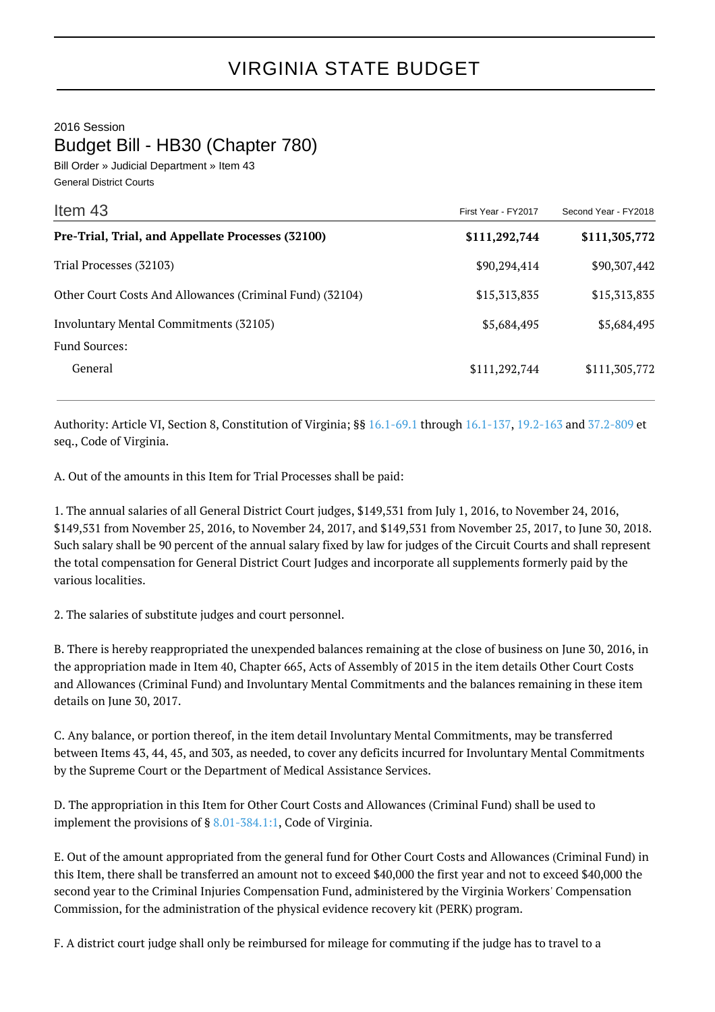2016 Session

Budget Bill - HB30 (Chapter 780)

Bill Order » Judicial Department » Item 43 General District Courts

| Item 43                                                  | First Year - FY2017 | Second Year - FY2018 |
|----------------------------------------------------------|---------------------|----------------------|
| Pre-Trial, Trial, and Appellate Processes (32100)        | \$111,292,744       | \$111,305,772        |
| Trial Processes (32103)                                  | \$90,294,414        | \$90,307,442         |
| Other Court Costs And Allowances (Criminal Fund) (32104) | \$15,313,835        | \$15,313,835         |
| Involuntary Mental Commitments (32105)                   | \$5,684,495         | \$5,684,495          |
| <b>Fund Sources:</b>                                     |                     |                      |
| General                                                  | \$111,292,744       | \$111,305,772        |

Authority: Article VI, Section 8, Constitution of Virginia; §§ [16.1-69.1](http://law.lis.virginia.gov/vacode/16.1-69.1/) through [16.1-137](http://law.lis.virginia.gov/vacode/16.1-137/), [19.2-163](http://law.lis.virginia.gov/vacode/19.2-163/) and [37.2-809](http://law.lis.virginia.gov/vacode/37.2-809/) et seq., Code of Virginia.

A. Out of the amounts in this Item for Trial Processes shall be paid:

1. The annual salaries of all General District Court judges, \$149,531 from July 1, 2016, to November 24, 2016, \$149,531 from November 25, 2016, to November 24, 2017, and \$149,531 from November 25, 2017, to June 30, 2018. Such salary shall be 90 percent of the annual salary fixed by law for judges of the Circuit Courts and shall represent the total compensation for General District Court Judges and incorporate all supplements formerly paid by the various localities.

2. The salaries of substitute judges and court personnel.

B. There is hereby reappropriated the unexpended balances remaining at the close of business on June 30, 2016, in the appropriation made in Item 40, Chapter 665, Acts of Assembly of 2015 in the item details Other Court Costs and Allowances (Criminal Fund) and Involuntary Mental Commitments and the balances remaining in these item details on June 30, 2017.

C. Any balance, or portion thereof, in the item detail Involuntary Mental Commitments, may be transferred between Items 43, 44, 45, and 303, as needed, to cover any deficits incurred for Involuntary Mental Commitments by the Supreme Court or the Department of Medical Assistance Services.

D. The appropriation in this Item for Other Court Costs and Allowances (Criminal Fund) shall be used to implement the provisions of § [8.01-384.1:1,](http://law.lis.virginia.gov/vacode/8.01-384.1:1/) Code of Virginia.

E. Out of the amount appropriated from the general fund for Other Court Costs and Allowances (Criminal Fund) in this Item, there shall be transferred an amount not to exceed \$40,000 the first year and not to exceed \$40,000 the second year to the Criminal Injuries Compensation Fund, administered by the Virginia Workers' Compensation Commission, for the administration of the physical evidence recovery kit (PERK) program.

F. A district court judge shall only be reimbursed for mileage for commuting if the judge has to travel to a